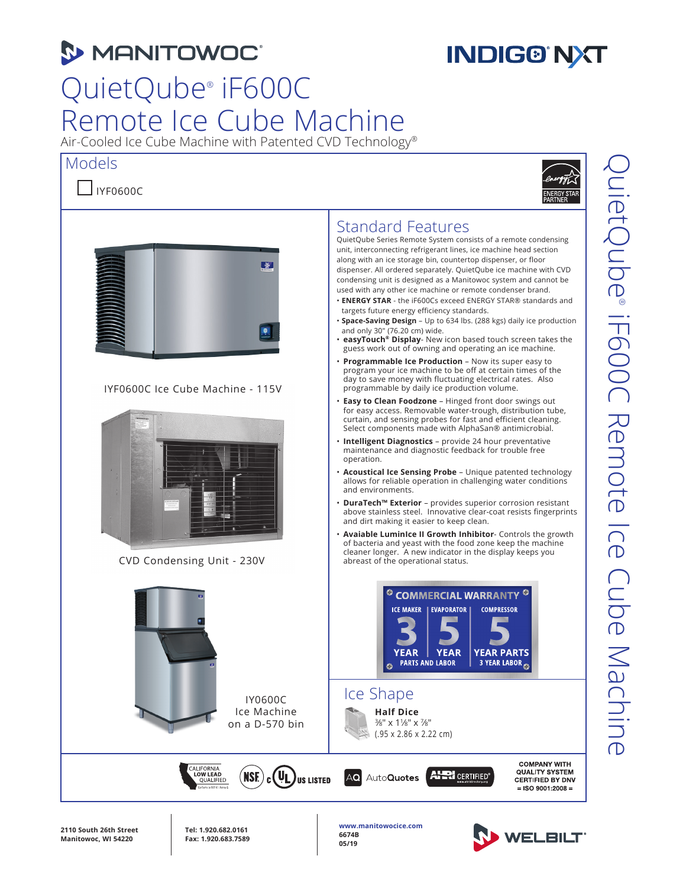# **3 MANITOWOC**

# **INDIG®'NXT**

# QuietQube® iF600C Remote Ice Cube Machine

Air-Cooled Ice Cube Machine with Patented CVD Technology®

### Models

### $\Box$ IYF0600C





IYF0600C Ice Cube Machine - 115V



CVD Condensing Unit - 230V



#### unit, interconnecting refrigerant lines, ice machine head section along with an ice storage bin, countertop dispenser, or floor

Standard Features

dispenser. All ordered separately. QuietQube ice machine with CVD condensing unit is designed as a Manitowoc system and cannot be used with any other ice machine or remote condenser brand.

QuietQube Series Remote System consists of a remote condensing

- **ENERGY STAR** the iF600Cs exceed ENERGY STAR® standards and targets future energy efficiency standards.
- **Space-Saving Design** Up to 634 lbs. (288 kgs) daily ice production and only 30" (76.20 cm) wide.
- **easyTouch® Display** New icon based touch screen takes the guess work out of owning and operating an ice machine.
- **Programmable Ice Production Now its super easy to** program your ice machine to be off at certain times of the day to save money with fluctuating electrical rates. Also programmable by daily ice production volume.
- **Easy to Clean Foodzone** Hinged front door swings out for easy access. Removable water-trough, distribution tube, curtain, and sensing probes for fast and efficient cleaning. Select components made with AlphaSan® antimicrobial.
- **Intelligent Diagnostics** provide 24 hour preventative maintenance and diagnostic feedback for trouble free operation.
- **Acoustical Ice Sensing Probe**  Unique patented technology allows for reliable operation in challenging water conditions and environments.
- **DuraTech™ Exterior** provides superior corrosion resistant above stainless steel. Innovative clear-coat resists fingerprints and dirt making it easier to keep clean.
- **Avaiable LuminIce II Growth Inhibitor** Controls the growth of bacteria and yeast with the food zone keep the machine cleaner longer. A new indicator in the display keeps you abreast of the operational status.





**COMPANY WITH QUALITY SYSTEM CERTIFIED BY DNV**  $=$  ISO 9001:2008  $=$ 

**2110 South 26th Street Manitowoc, WI 54220**

**Tel: 1.920.682.0161 Fax: 1.920.683.7589**

ALIFORNIA<br>LOW LEAD

OUALIFIED

IY0600C Ice Machine on a D-570 bin

 $(\sf{NSE})$ 

**www.manitowocice.com 6674B 05/19**